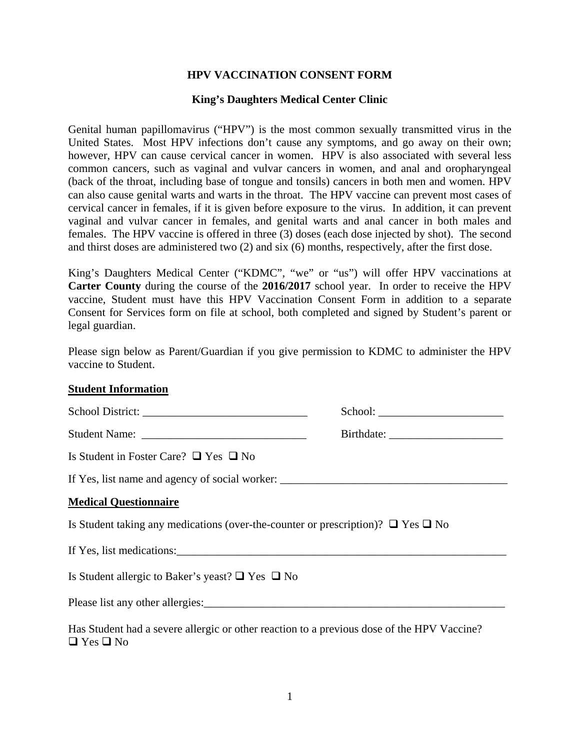## **HPV VACCINATION CONSENT FORM**

## **King's Daughters Medical Center Clinic**

Genital human papillomavirus ("HPV") is the most common sexually transmitted virus in the United States. Most HPV infections don't cause any symptoms, and go away on their own; however, HPV can cause cervical cancer in women. HPV is also associated with several less common cancers, such as vaginal and vulvar cancers in women, and anal and oropharyngeal (back of the throat, including base of tongue and tonsils) cancers in both men and women. HPV can also cause genital warts and warts in the throat. The HPV vaccine can prevent most cases of cervical cancer in females, if it is given before exposure to the virus. In addition, it can prevent vaginal and vulvar cancer in females, and genital warts and anal cancer in both males and females. The HPV vaccine is offered in three (3) doses (each dose injected by shot). The second and thirst doses are administered two (2) and six (6) months, respectively, after the first dose.

King's Daughters Medical Center ("KDMC", "we" or "us") will offer HPV vaccinations at **Carter County** during the course of the **2016/2017** school year. In order to receive the HPV vaccine, Student must have this HPV Vaccination Consent Form in addition to a separate Consent for Services form on file at school, both completed and signed by Student's parent or legal guardian.

Please sign below as Parent/Guardian if you give permission to KDMC to administer the HPV vaccine to Student.

## **Student Information**

| Is Student in Foster Care? $\Box$ Yes $\Box$ No                                                                    |  |
|--------------------------------------------------------------------------------------------------------------------|--|
|                                                                                                                    |  |
| <b>Medical Questionnaire</b>                                                                                       |  |
| Is Student taking any medications (over-the-counter or prescription)? $\Box$ Yes $\Box$ No                         |  |
| If Yes, list medications:                                                                                          |  |
| Is Student allergic to Baker's yeast? $\Box$ Yes $\Box$ No                                                         |  |
|                                                                                                                    |  |
| Has Student had a severe allergic or other reaction to a previous dose of the HPV Vaccine?<br>$\Box$ Yes $\Box$ No |  |

1